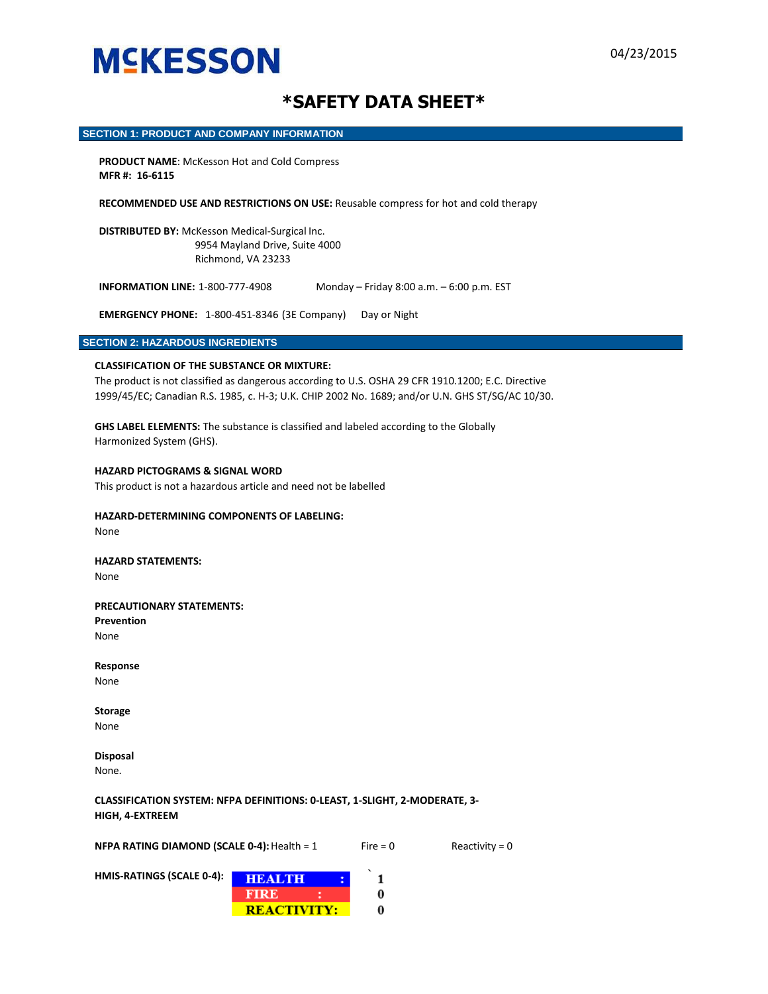### **\*SAFETY DATA SHEET\***

#### **SECTION 1: PRODUCT AND COMPANY INFORMATION**

**PRODUCT NAME**: McKesson Hot and Cold Compress **MFR #: 16-6115** 

**RECOMMENDED USE AND RESTRICTIONS ON USE:** Reusable compress for hot and cold therapy

**DISTRIBUTED BY:** McKesson Medical-Surgical Inc. 9954 Mayland Drive, Suite 4000 Richmond, VA 23233

**INFORMATION LINE:** 1-800-777-4908 Monday – Friday 8:00 a.m. – 6:00 p.m. EST

**EMERGENCY PHONE:** 1-800-451-8346 (3E Company) Day or Night

#### **SECTION 2: HAZARDOUS INGREDIENTS**

#### **CLASSIFICATION OF THE SUBSTANCE OR MIXTURE:**

The product is not classified as dangerous according to U.S. OSHA 29 CFR 1910.1200; E.C. Directive 1999/45/EC; Canadian R.S. 1985, c. H-3; U.K. CHIP 2002 No. 1689; and/or U.N. GHS ST/SG/AC 10/30.

**GHS LABEL ELEMENTS:** The substance is classified and labeled according to the Globally Harmonized System (GHS).

#### **HAZARD PICTOGRAMS & SIGNAL WORD**

This product is not a hazardous article and need not be labelled

#### **HAZARD-DETERMINING COMPONENTS OF LABELING:**

None

#### **HAZARD STATEMENTS:**  None

#### **PRECAUTIONARY STATEMENTS:**

**Prevention**  None

**Response**  None

**Storage** 

None

**Disposal**  None.

**CLASSIFICATION SYSTEM: NFPA DEFINITIONS: 0-LEAST, 1-SLIGHT, 2-MODERATE, 3- HIGH, 4-EXTREEM** 

**NFPA RATING DIAMOND (SCALE 0-4):** Health =  $1$  Fire = 0 Reactivity = 0

**HMIS-RATINGS (SCALE 0-4):** 

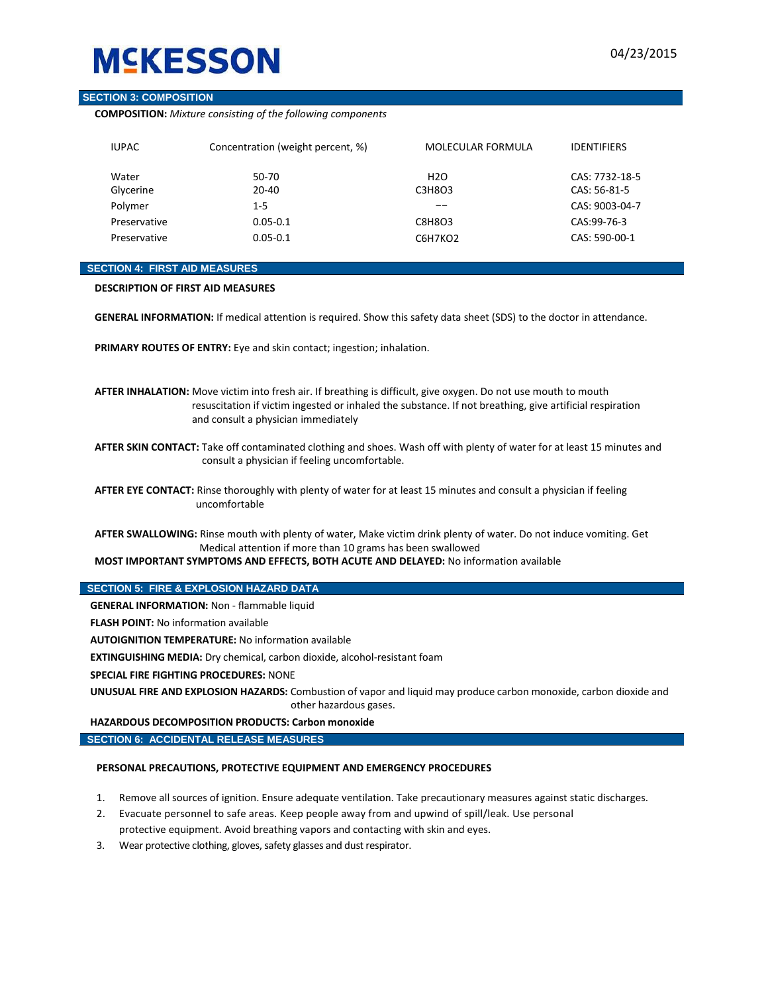#### **SECTION 3: COMPOSITION**

**COMPOSITION:** *Mixture consisting of the following components*

| <b>IUPAC</b> | Concentration (weight percent, %) | MOLECULAR FORMULA | <b>IDENTIFIERS</b> |
|--------------|-----------------------------------|-------------------|--------------------|
| Water        | 50-70                             | H <sub>20</sub>   | CAS: 7732-18-5     |
| Glycerine    | 20-40                             | C3H8O3            | CAS: 56-81-5       |
| Polymer      | $1 - 5$                           | --                | CAS: 9003-04-7     |
| Preservative | $0.05 - 0.1$                      | C8H8O3            | CAS:99-76-3        |
| Preservative | $0.05 - 0.1$                      | C6H7KO2           | CAS: 590-00-1      |

#### **SECTION 4: FIRST AID MEASURES**

**DESCRIPTION OF FIRST AID MEASURES** 

**GENERAL INFORMATION:** If medical attention is required. Show this safety data sheet (SDS) to the doctor in attendance.

**PRIMARY ROUTES OF ENTRY:** Eye and skin contact; ingestion; inhalation.

**AFTER INHALATION:** Move victim into fresh air. If breathing is difficult, give oxygen. Do not use mouth to mouth resuscitation if victim ingested or inhaled the substance. If not breathing, give artificial respiration and consult a physician immediately

**AFTER SKIN CONTACT:** Take off contaminated clothing and shoes. Wash off with plenty of water for at least 15 minutes and consult a physician if feeling uncomfortable.

**AFTER EYE CONTACT:** Rinse thoroughly with plenty of water for at least 15 minutes and consult a physician if feeling uncomfortable

**AFTER SWALLOWING:** Rinse mouth with plenty of water, Make victim drink plenty of water. Do not induce vomiting. Get Medical attention if more than 10 grams has been swallowed

**MOST IMPORTANT SYMPTOMS AND EFFECTS, BOTH ACUTE AND DELAYED:** No information available

#### **SECTION 5: FIRE & EXPLOSION HAZARD DATA**

**GENERAL INFORMATION:** Non - flammable liquid

**FLASH POINT:** No information available

**AUTOIGNITION TEMPERATURE:** No information available

**EXTINGUISHING MEDIA:** Dry chemical, carbon dioxide, alcohol-resistant foam

**SPECIAL FIRE FIGHTING PROCEDURES:** NONE

**UNUSUAL FIRE AND EXPLOSION HAZARDS:** Combustion of vapor and liquid may produce carbon monoxide, carbon dioxide and other hazardous gases.

#### **HAZARDOUS DECOMPOSITION PRODUCTS: Carbon monoxide**

**SECTION 6: ACCIDENTAL RELEASE MEASURES**

#### **PERSONAL PRECAUTIONS, PROTECTIVE EQUIPMENT AND EMERGENCY PROCEDURES**

- 1. Remove all sources of ignition. Ensure adequate ventilation. Take precautionary measures against static discharges.
- 2. Evacuate personnel to safe areas. Keep people away from and upwind of spill/leak. Use personal protective equipment. Avoid breathing vapors and contacting with skin and eyes.
- 3. Wear protective clothing, gloves, safety glasses and dust respirator.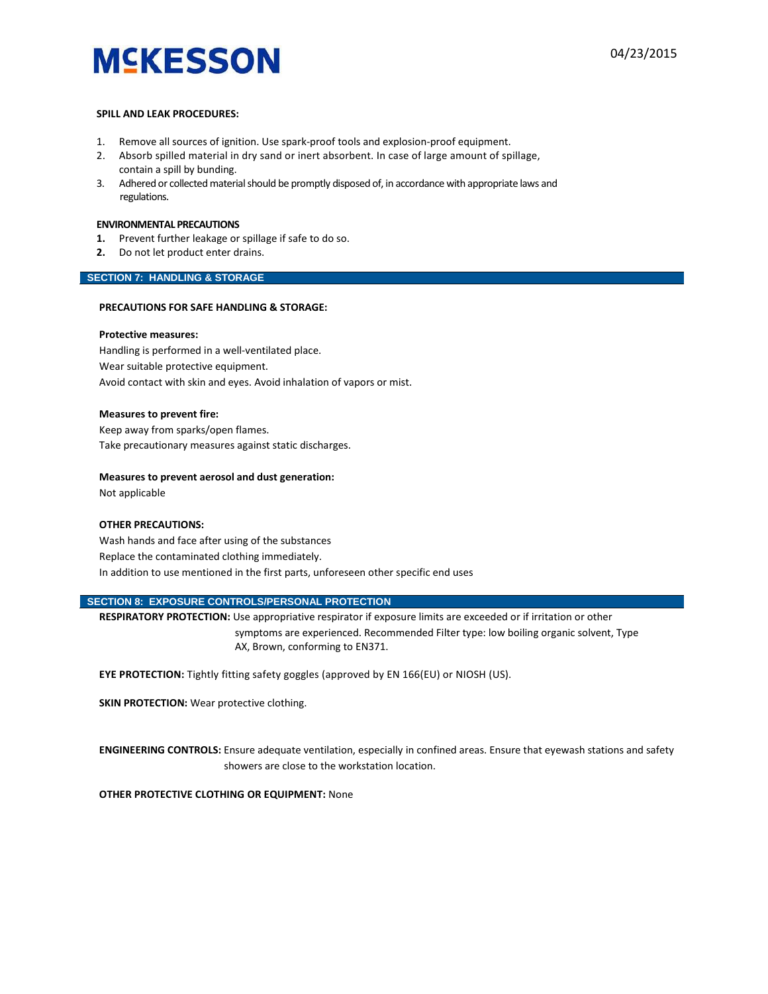#### **SPILL AND LEAK PROCEDURES:**

- 1. Remove all sources of ignition. Use spark-proof tools and explosion-proof equipment.
- 2. Absorb spilled material in dry sand or inert absorbent. In case of large amount of spillage, contain a spill by bunding.
- 3. Adhered or collected material should be promptly disposed of, in accordance with appropriate laws and regulations.

#### **ENVIRONMENTAL PRECAUTIONS**

- **1.** Prevent further leakage or spillage if safe to do so.
- **2.** Do not let product enter drains.

#### **SECTION 7: HANDLING & STORAGE**

#### **PRECAUTIONS FOR SAFE HANDLING & STORAGE:**

#### **Protective measures:**

Handling is performed in a well-ventilated place. Wear suitable protective equipment. Avoid contact with skin and eyes. Avoid inhalation of vapors or mist.

#### **Measures to prevent fire:**

Keep away from sparks/open flames. Take precautionary measures against static discharges.

#### **Measures to prevent aerosol and dust generation:**

Not applicable

#### **OTHER PRECAUTIONS:**

Wash hands and face after using of the substances Replace the contaminated clothing immediately. In addition to use mentioned in the first parts, unforeseen other specific end uses

#### **SECTION 8: EXPOSURE CONTROLS/PERSONAL PROTECTION**

**RESPIRATORY PROTECTION:** Use appropriative respirator if exposure limits are exceeded or if irritation or other symptoms are experienced. Recommended Filter type: low boiling organic solvent, Type AX, Brown, conforming to EN371.

**EYE PROTECTION:** Tightly fitting safety goggles (approved by EN 166(EU) or NIOSH (US).

**SKIN PROTECTION:** Wear protective clothing.

**ENGINEERING CONTROLS:** Ensure adequate ventilation, especially in confined areas. Ensure that eyewash stations and safety showers are close to the workstation location.

**OTHER PROTECTIVE CLOTHING OR EQUIPMENT:** None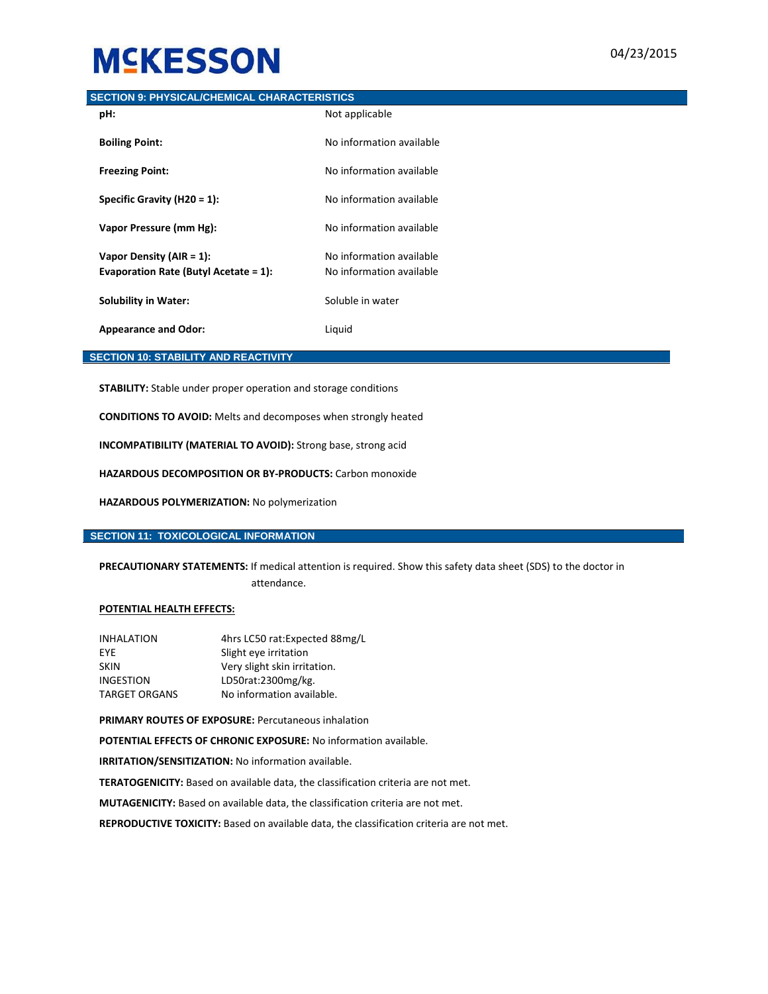#### **SECTION 9: PHYSICAL/CHEMICAL CHARACTERISTICS**

| pH:                                                                      | Not applicable                                       |
|--------------------------------------------------------------------------|------------------------------------------------------|
| <b>Boiling Point:</b>                                                    | No information available                             |
| <b>Freezing Point:</b>                                                   | No information available                             |
| Specific Gravity (H20 = 1):                                              | No information available                             |
| Vapor Pressure (mm Hg):                                                  | No information available                             |
| Vapor Density ( $AIR = 1$ ):<br>Evaporation Rate (Butyl Acetate = $1$ ): | No information available<br>No information available |
| <b>Solubility in Water:</b>                                              | Soluble in water                                     |
| <b>Appearance and Odor:</b>                                              | Liquid                                               |

#### **SECTION 10: STABILITY AND REACTIVITY**

**STABILITY:** Stable under proper operation and storage conditions

**CONDITIONS TO AVOID:** Melts and decomposes when strongly heated

**INCOMPATIBILITY (MATERIAL TO AVOID):** Strong base, strong acid

**HAZARDOUS DECOMPOSITION OR BY-PRODUCTS:** Carbon monoxide

**HAZARDOUS POLYMERIZATION:** No polymerization

#### **SECTION 11: TOXICOLOGICAL INFORMATION**

**PRECAUTIONARY STATEMENTS:** If medical attention is required. Show this safety data sheet (SDS) to the doctor in attendance.

#### **POTENTIAL HEALTH EFFECTS:**

| <b>INHALATION</b>    | 4hrs LC50 rat: Expected 88mg/L |
|----------------------|--------------------------------|
| <b>FYF</b>           | Slight eye irritation          |
| <b>SKIN</b>          | Very slight skin irritation.   |
| <b>INGESTION</b>     | LD50rat:2300mg/kg.             |
| <b>TARGET ORGANS</b> | No information available.      |

**PRIMARY ROUTES OF EXPOSURE:** Percutaneous inhalation

**POTENTIAL EFFECTS OF CHRONIC EXPOSURE:** No information available.

**IRRITATION/SENSITIZATION:** No information available.

**TERATOGENICITY:** Based on available data, the classification criteria are not met.

**MUTAGENICITY:** Based on available data, the classification criteria are not met.

**REPRODUCTIVE TOXICITY:** Based on available data, the classification criteria are not met.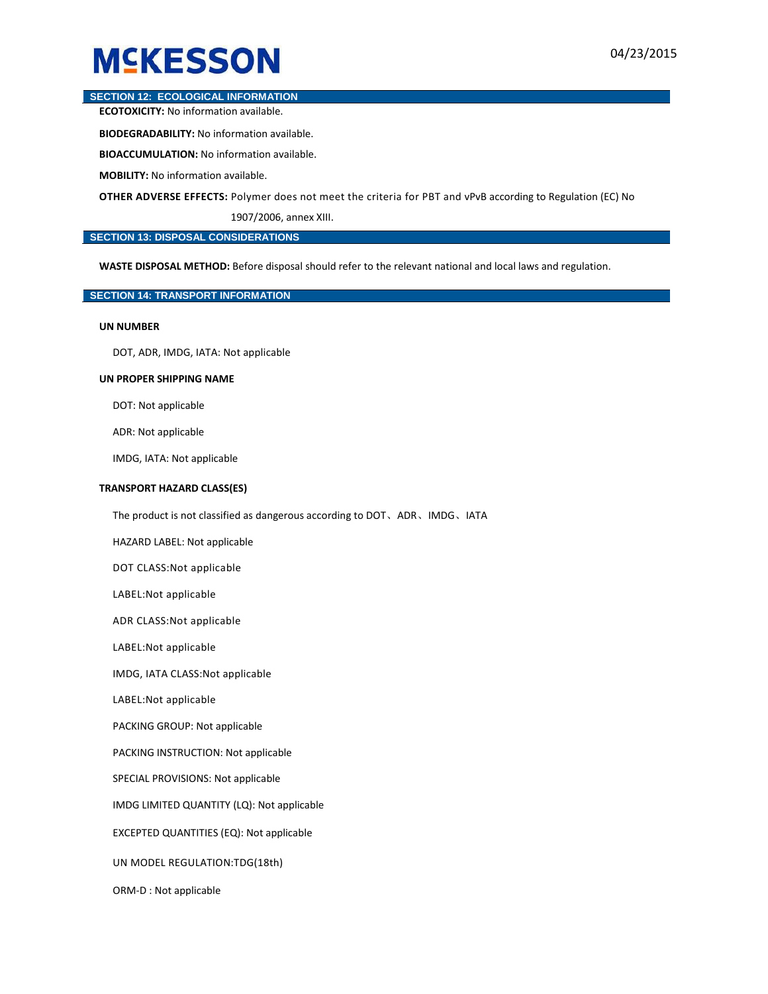#### **SECTION 12: ECOLOGICAL INFORMATION**

**ECOTOXICITY:** No information available.

**BIODEGRADABILITY:** No information available.

**BIOACCUMULATION:** No information available.

**MOBILITY:** No information available.

**OTHER ADVERSE EFFECTS:** Polymer does not meet the criteria for PBT and vPvB according to Regulation (EC) No

1907/2006, annex XIII.

#### **SECTION 13: DISPOSAL CONSIDERATIONS**

**WASTE DISPOSAL METHOD:** Before disposal should refer to the relevant national and local laws and regulation.

#### **SECTION 14: TRANSPORT INFORMATION**

#### **UN NUMBER**

DOT, ADR, IMDG, IATA: Not applicable

#### **UN PROPER SHIPPING NAME**

DOT: Not applicable

ADR: Not applicable

IMDG, IATA: Not applicable

#### **TRANSPORT HAZARD CLASS(ES)**

The product is not classified as dangerous according to DOT、ADR、IMDG、IATA

HAZARD LABEL: Not applicable

DOT CLASS:Not applicable

LABEL:Not applicable

ADR CLASS:Not applicable

LABEL:Not applicable

IMDG, IATA CLASS:Not applicable

LABEL:Not applicable

PACKING GROUP: Not applicable

PACKING INSTRUCTION: Not applicable

SPECIAL PROVISIONS: Not applicable

IMDG LIMITED QUANTITY (LQ): Not applicable

EXCEPTED QUANTITIES (EQ): Not applicable

UN MODEL REGULATION:TDG(18th)

ORM-D : Not applicable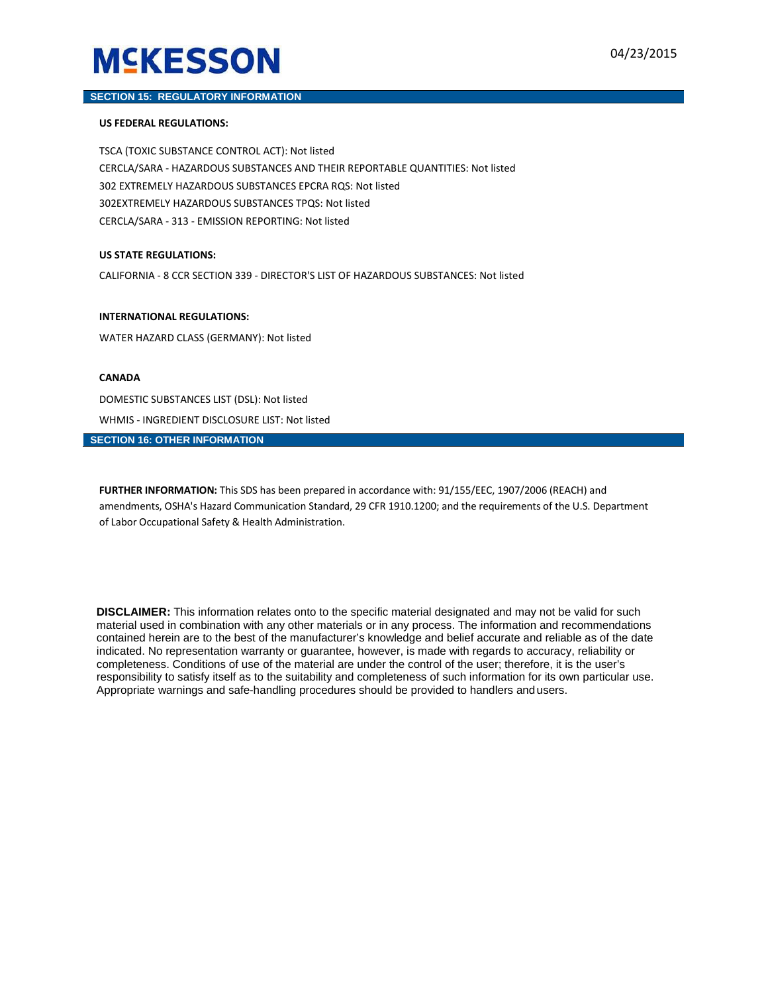#### **SECTION 15: REGULATORY INFORMATION**

#### **US FEDERAL REGULATIONS:**

TSCA (TOXIC SUBSTANCE CONTROL ACT): Not listed CERCLA/SARA - HAZARDOUS SUBSTANCES AND THEIR REPORTABLE QUANTITIES: Not listed 302 EXTREMELY HAZARDOUS SUBSTANCES EPCRA RQS: Not listed 302EXTREMELY HAZARDOUS SUBSTANCES TPQS: Not listed CERCLA/SARA - 313 - EMISSION REPORTING: Not listed

#### **US STATE REGULATIONS:**

CALIFORNIA - 8 CCR SECTION 339 - DIRECTOR'S LIST OF HAZARDOUS SUBSTANCES: Not listed

#### **INTERNATIONAL REGULATIONS:**

WATER HAZARD CLASS (GERMANY): Not listed

#### **CANADA**

DOMESTIC SUBSTANCES LIST (DSL): Not listed WHMIS - INGREDIENT DISCLOSURE LIST: Not listed

#### **SECTION 16: OTHER INFORMATION**

**FURTHER INFORMATION:** This SDS has been prepared in accordance with: 91/155/EEC, 1907/2006 (REACH) and amendments, OSHA's Hazard Communication Standard, 29 CFR 1910.1200; and the requirements of the U.S. Department of Labor Occupational Safety & Health Administration.

**DISCLAIMER:** This information relates onto to the specific material designated and may not be valid for such material used in combination with any other materials or in any process. The information and recommendations contained herein are to the best of the manufacturer's knowledge and belief accurate and reliable as of the date indicated. No representation warranty or guarantee, however, is made with regards to accuracy, reliability or completeness. Conditions of use of the material are under the control of the user; therefore, it is the user's responsibility to satisfy itself as to the suitability and completeness of such information for its own particular use. Appropriate warnings and safe-handling procedures should be provided to handlers and users.